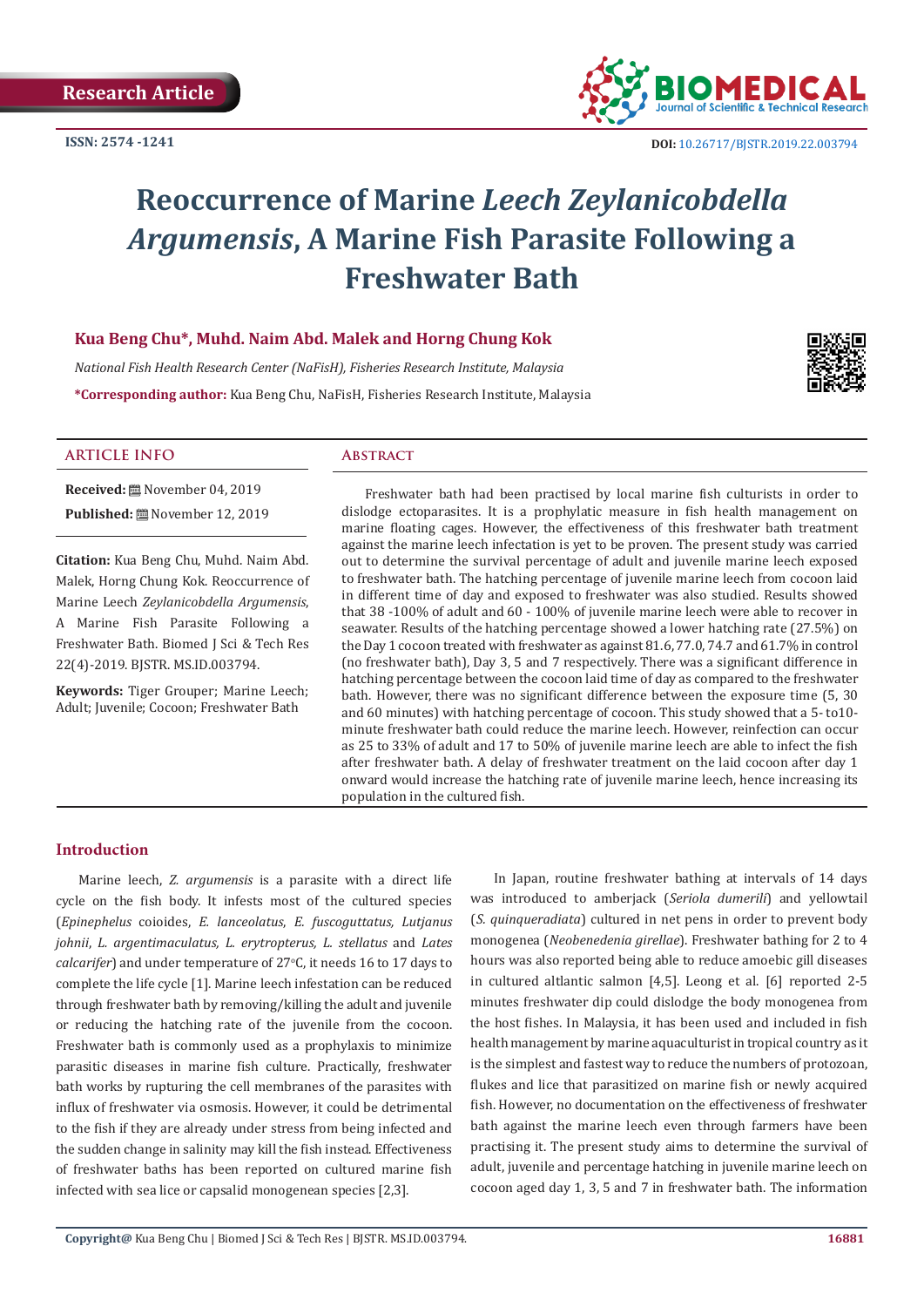

# **Reoccurrence of Marine** *Leech Zeylanicobdella Argumensis***, A Marine Fish Parasite Following a Freshwater Bath**

## **Kua Beng Chu\*, Muhd. Naim Abd. Malek and Horng Chung Kok**

*National Fish Health Research Center (NaFisH), Fisheries Research Institute, Malaysia* **\*Corresponding author:** Kua Beng Chu, NaFisH, Fisheries Research Institute, Malaysia



## **ARTICLE INFO Abstract**

**Published:** November 12, 2019 **Citation:** Kua Beng Chu, Muhd. Naim Abd.

**Received:** November 04, 2019

Malek, Horng Chung Kok. Reoccurrence of Marine Leech *Zeylanicobdella Argumensis*, A Marine Fish Parasite Following a Freshwater Bath. Biomed J Sci & Tech Res 22(4)-2019. BJSTR. MS.ID.003794.

**Keywords:** Tiger Grouper; Marine Leech; Adult; Juvenile; Cocoon; Freshwater Bath

Freshwater bath had been practised by local marine fish culturists in order to dislodge ectoparasites. It is a prophylatic measure in fish health management on marine floating cages. However, the effectiveness of this freshwater bath treatment against the marine leech infectation is yet to be proven. The present study was carried out to determine the survival percentage of adult and juvenile marine leech exposed to freshwater bath. The hatching percentage of juvenile marine leech from cocoon laid in different time of day and exposed to freshwater was also studied. Results showed that 38 -100% of adult and 60 - 100% of juvenile marine leech were able to recover in seawater. Results of the hatching percentage showed a lower hatching rate (27.5%) on the Day 1 cocoon treated with freshwater as against 81.6, 77.0, 74.7 and 61.7% in control (no freshwater bath), Day 3, 5 and 7 respectively. There was a significant difference in hatching percentage between the cocoon laid time of day as compared to the freshwater bath. However, there was no significant difference between the exposure time (5, 30 and 60 minutes) with hatching percentage of cocoon. This study showed that a 5- to10 minute freshwater bath could reduce the marine leech. However, reinfection can occur as 25 to 33% of adult and 17 to 50% of juvenile marine leech are able to infect the fish after freshwater bath. A delay of freshwater treatment on the laid cocoon after day 1 onward would increase the hatching rate of juvenile marine leech, hence increasing its population in the cultured fish.

## **Introduction**

Marine leech, *Z. argumensis* is a parasite with a direct life cycle on the fish body. It infests most of the cultured species (*Epinephelus* coioides, *E. lanceolatus*, *E. fuscoguttatus, Lutjanus johnii*, *L. argentimaculatus, L. erytropterus, L. stellatus* and *Lates*  calcarifer) and under temperature of 27°C, it needs 16 to 17 days to complete the life cycle [1]. Marine leech infestation can be reduced through freshwater bath by removing/killing the adult and juvenile or reducing the hatching rate of the juvenile from the cocoon. Freshwater bath is commonly used as a prophylaxis to minimize parasitic diseases in marine fish culture. Practically, freshwater bath works by rupturing the cell membranes of the parasites with influx of freshwater via osmosis. However, it could be detrimental to the fish if they are already under stress from being infected and the sudden change in salinity may kill the fish instead. Effectiveness of freshwater baths has been reported on cultured marine fish infected with sea lice or capsalid monogenean species [2,3].

In Japan, routine freshwater bathing at intervals of 14 days was introduced to amberjack (*Seriola dumerili*) and yellowtail (*S. quinqueradiata*) cultured in net pens in order to prevent body monogenea (*Neobenedenia girellae*). Freshwater bathing for 2 to 4 hours was also reported being able to reduce amoebic gill diseases in cultured altlantic salmon [4,5]. Leong et al. [6] reported 2-5 minutes freshwater dip could dislodge the body monogenea from the host fishes. In Malaysia, it has been used and included in fish health management by marine aquaculturist in tropical country as it is the simplest and fastest way to reduce the numbers of protozoan, flukes and lice that parasitized on marine fish or newly acquired fish. However, no documentation on the effectiveness of freshwater bath against the marine leech even through farmers have been practising it. The present study aims to determine the survival of adult, juvenile and percentage hatching in juvenile marine leech on cocoon aged day 1, 3, 5 and 7 in freshwater bath. The information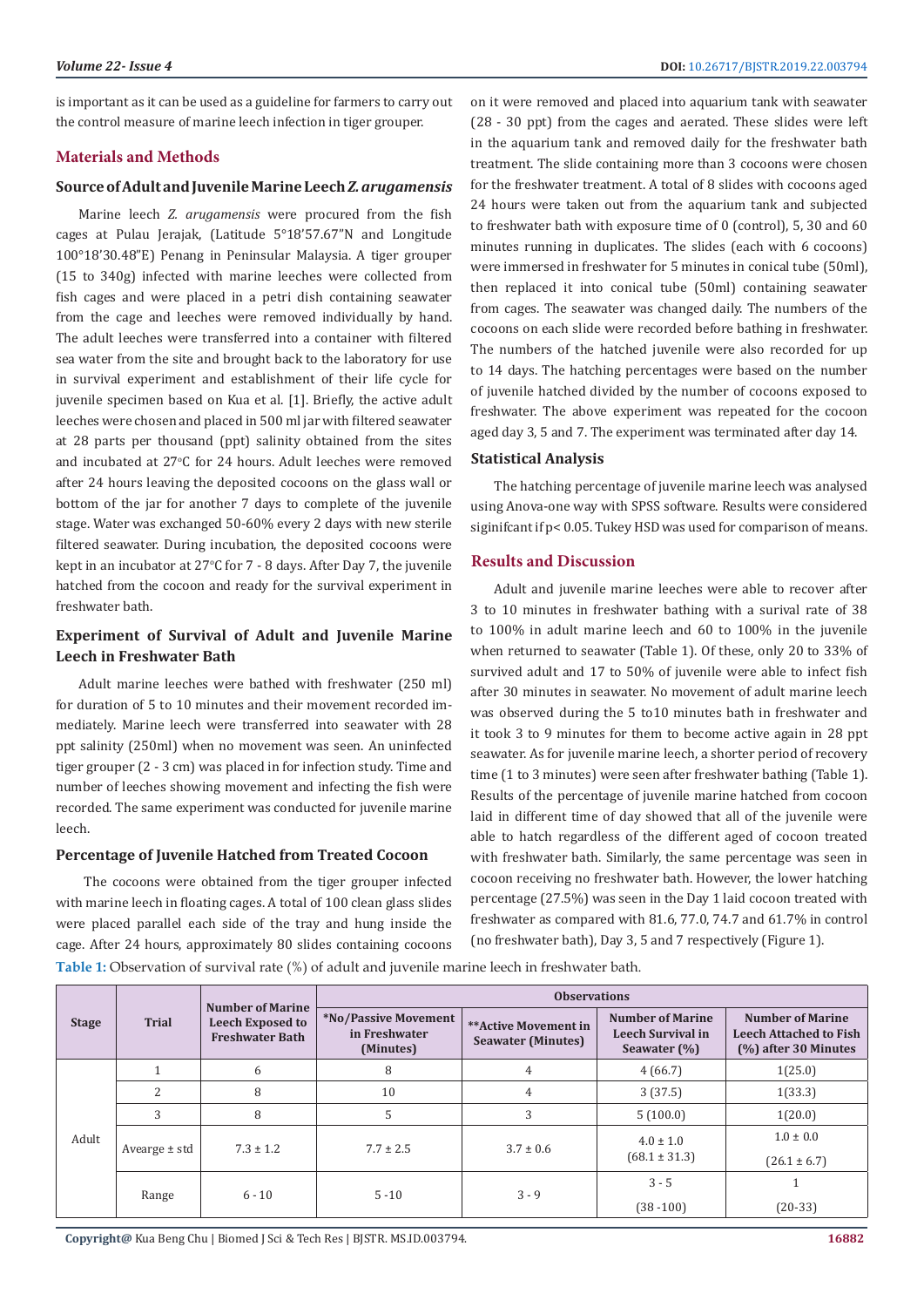is important as it can be used as a guideline for farmers to carry out the control measure of marine leech infection in tiger grouper.

## **Materials and Methods**

# **Source of Adult and Juvenile Marine Leech** *Z. arugamensis*

Marine leech *Z. arugamensis* were procured from the fish cages at Pulau Jerajak, (Latitude 5°18'57.67"N and Longitude 100°18'30.48"E) Penang in Peninsular Malaysia. A tiger grouper (15 to 340g) infected with marine leeches were collected from fish cages and were placed in a petri dish containing seawater from the cage and leeches were removed individually by hand. The adult leeches were transferred into a container with filtered sea water from the site and brought back to the laboratory for use in survival experiment and establishment of their life cycle for juvenile specimen based on Kua et al. [1]. Briefly, the active adult leeches were chosen and placed in 500 ml jar with filtered seawater at 28 parts per thousand (ppt) salinity obtained from the sites and incubated at 27°C for 24 hours. Adult leeches were removed after 24 hours leaving the deposited cocoons on the glass wall or bottom of the jar for another 7 days to complete of the juvenile stage. Water was exchanged 50-60% every 2 days with new sterile filtered seawater. During incubation, the deposited cocoons were kept in an incubator at 27°C for 7 - 8 days. After Day 7, the juvenile hatched from the cocoon and ready for the survival experiment in freshwater bath.

# **Experiment of Survival of Adult and Juvenile Marine Leech in Freshwater Bath**

Adult marine leeches were bathed with freshwater (250 ml) for duration of 5 to 10 minutes and their movement recorded immediately. Marine leech were transferred into seawater with 28 ppt salinity (250ml) when no movement was seen. An uninfected tiger grouper (2 - 3 cm) was placed in for infection study. Time and number of leeches showing movement and infecting the fish were recorded. The same experiment was conducted for juvenile marine leech.

# **Percentage of Juvenile Hatched from Treated Cocoon**

 The cocoons were obtained from the tiger grouper infected with marine leech in floating cages. A total of 100 clean glass slides were placed parallel each side of the tray and hung inside the cage. After 24 hours, approximately 80 slides containing cocoons

on it were removed and placed into aquarium tank with seawater (28 - 30 ppt) from the cages and aerated. These slides were left in the aquarium tank and removed daily for the freshwater bath treatment. The slide containing more than 3 cocoons were chosen for the freshwater treatment. A total of 8 slides with cocoons aged 24 hours were taken out from the aquarium tank and subjected to freshwater bath with exposure time of 0 (control), 5, 30 and 60 minutes running in duplicates. The slides (each with 6 cocoons) were immersed in freshwater for 5 minutes in conical tube (50ml), then replaced it into conical tube (50ml) containing seawater from cages. The seawater was changed daily. The numbers of the cocoons on each slide were recorded before bathing in freshwater. The numbers of the hatched juvenile were also recorded for up to 14 days. The hatching percentages were based on the number of juvenile hatched divided by the number of cocoons exposed to freshwater. The above experiment was repeated for the cocoon aged day 3, 5 and 7. The experiment was terminated after day 14.

### **Statistical Analysis**

The hatching percentage of juvenile marine leech was analysed using Anova-one way with SPSS software. Results were considered siginifcant if p< 0.05. Tukey HSD was used for comparison of means.

### **Results and Discussion**

Adult and juvenile marine leeches were able to recover after 3 to 10 minutes in freshwater bathing with a surival rate of 38 to 100% in adult marine leech and 60 to 100% in the juvenile when returned to seawater (Table 1). Of these, only 20 to 33% of survived adult and 17 to 50% of juvenile were able to infect fish after 30 minutes in seawater. No movement of adult marine leech was observed during the 5 to10 minutes bath in freshwater and it took 3 to 9 minutes for them to become active again in 28 ppt seawater. As for juvenile marine leech, a shorter period of recovery time (1 to 3 minutes) were seen after freshwater bathing (Table 1). Results of the percentage of juvenile marine hatched from cocoon laid in different time of day showed that all of the juvenile were able to hatch regardless of the different aged of cocoon treated with freshwater bath. Similarly, the same percentage was seen in cocoon receiving no freshwater bath. However, the lower hatching percentage (27.5%) was seen in the Day 1 laid cocoon treated with freshwater as compared with 81.6, 77.0, 74.7 and 61.7% in control (no freshwater bath), Day 3, 5 and 7 respectively (Figure 1).

**Table 1:** Observation of survival rate (%) of adult and juvenile marine leech in freshwater bath.

| <b>Stage</b> | <b>Trial</b>      | Number of Marine<br><b>Leech Exposed to</b><br><b>Freshwater Bath</b> | <b>Observations</b>                                |                                                   |                                                                     |                                                                                  |  |
|--------------|-------------------|-----------------------------------------------------------------------|----------------------------------------------------|---------------------------------------------------|---------------------------------------------------------------------|----------------------------------------------------------------------------------|--|
|              |                   |                                                                       | *No/Passive Movement<br>in Freshwater<br>(Minutes) | **Active Movement in<br><b>Seawater (Minutes)</b> | <b>Number of Marine</b><br><b>Leech Survival in</b><br>Seawater (%) | <b>Number of Marine</b><br><b>Leech Attached to Fish</b><br>(%) after 30 Minutes |  |
| Adult        |                   | 6                                                                     | 8                                                  | $\overline{4}$                                    | 4(66.7)                                                             | 1(25.0)                                                                          |  |
|              | 2                 | 8                                                                     | 10                                                 | 4                                                 | 3(37.5)                                                             | 1(33.3)                                                                          |  |
|              | 3                 | 8                                                                     | 5                                                  | 3                                                 | 5(100.0)                                                            | 1(20.0)                                                                          |  |
|              | Avearge $\pm$ std | $7.3 \pm 1.2$                                                         | $7.7 \pm 2.5$                                      | $3.7 \pm 0.6$                                     | $4.0 \pm 1.0$<br>$(68.1 \pm 31.3)$                                  | $1.0 \pm 0.0$                                                                    |  |
|              |                   |                                                                       |                                                    |                                                   |                                                                     | $(26.1 \pm 6.7)$                                                                 |  |
|              | Range             | $6 - 10$                                                              | $5 - 10$                                           | $3 - 9$                                           | $3 - 5$                                                             |                                                                                  |  |
|              |                   |                                                                       |                                                    |                                                   | $(38 - 100)$                                                        | $(20-33)$                                                                        |  |

**Copyright@** Kua Beng Chu | Biomed J Sci & Tech Res | BJSTR. MS.ID.003794.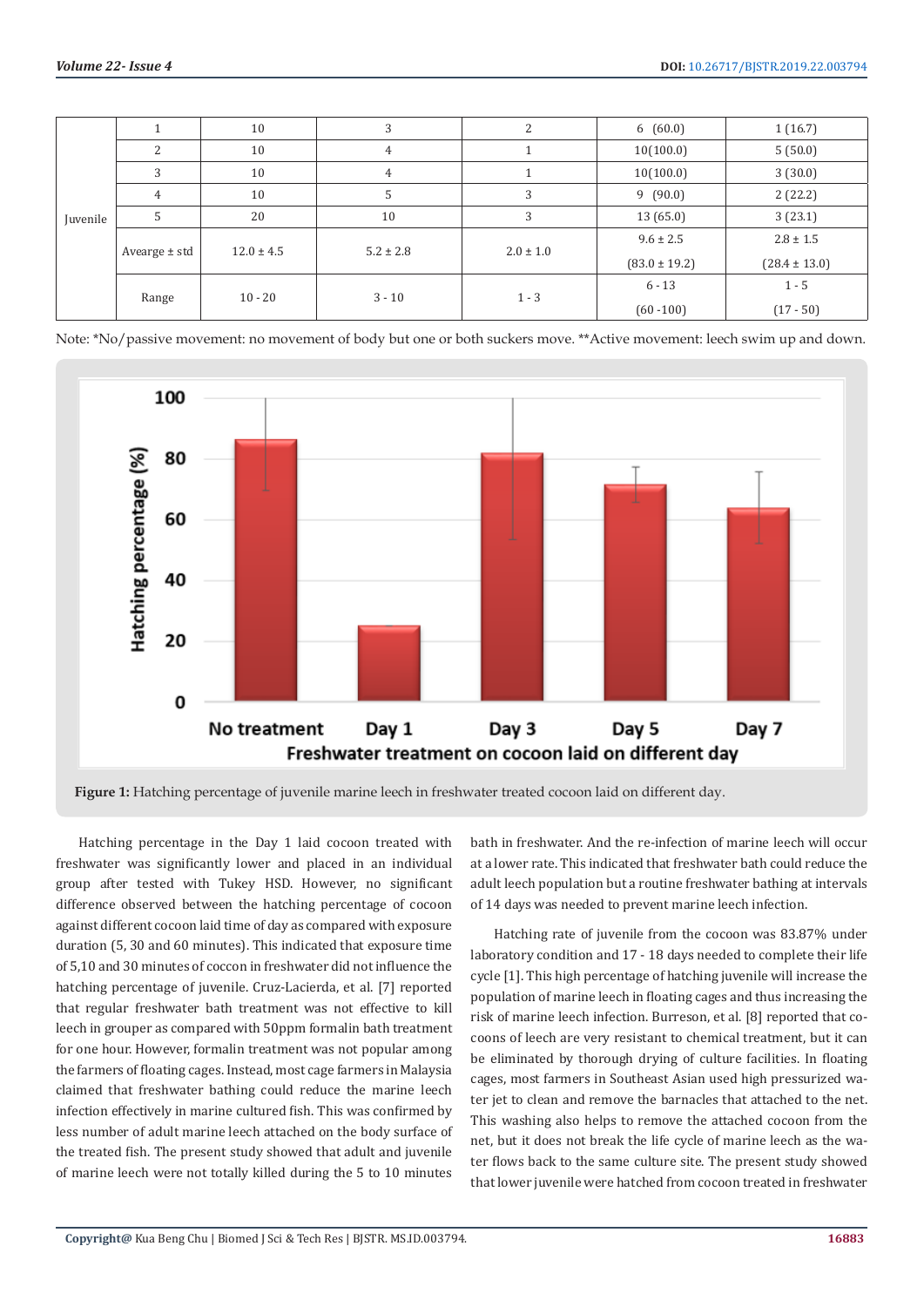| Juvenile |                | 10             | 3             | C             | 6(60.0)           | 1(16.7)           |
|----------|----------------|----------------|---------------|---------------|-------------------|-------------------|
|          | C              | 10             | 4             |               | 10(100.0)         | 5(50.0)           |
|          | 3              | 10             | 4             |               | 10(100.0)         | 3(30.0)           |
|          | $\overline{4}$ | 10             | 5             | 3             | 9(90.0)           | 2(22.2)           |
|          | 5              | 20             | 10            | 3             | 13(65.0)          | 3(23.1)           |
|          | Avearge ± std  | $12.0 \pm 4.5$ | $5.2 \pm 2.8$ | $2.0 \pm 1.0$ | $9.6 \pm 2.5$     | $2.8 \pm 1.5$     |
|          |                |                |               |               | $(83.0 \pm 19.2)$ | $(28.4 \pm 13.0)$ |
|          | Range          | $10 - 20$      | $3 - 10$      | $1 - 3$       | $6 - 13$          | $1 - 5$           |
|          |                |                |               |               | $(60 - 100)$      | $(17 - 50)$       |

Note: \*No/passive movement: no movement of body but one or both suckers move. \*\*Active movement: leech swim up and down.



**Figure 1:** Hatching percentage of juvenile marine leech in freshwater treated cocoon laid on different day.

Hatching percentage in the Day 1 laid cocoon treated with freshwater was significantly lower and placed in an individual group after tested with Tukey HSD. However, no significant difference observed between the hatching percentage of cocoon against different cocoon laid time of day as compared with exposure duration (5, 30 and 60 minutes). This indicated that exposure time of 5,10 and 30 minutes of coccon in freshwater did not influence the hatching percentage of juvenile. Cruz-Lacierda, et al. [7] reported that regular freshwater bath treatment was not effective to kill leech in grouper as compared with 50ppm formalin bath treatment for one hour. However, formalin treatment was not popular among the farmers of floating cages. Instead, most cage farmers in Malaysia claimed that freshwater bathing could reduce the marine leech infection effectively in marine cultured fish. This was confirmed by less number of adult marine leech attached on the body surface of the treated fish. The present study showed that adult and juvenile of marine leech were not totally killed during the 5 to 10 minutes

bath in freshwater. And the re-infection of marine leech will occur at a lower rate. This indicated that freshwater bath could reduce the adult leech population but a routine freshwater bathing at intervals of 14 days was needed to prevent marine leech infection.

Hatching rate of juvenile from the cocoon was 83.87% under laboratory condition and 17 - 18 days needed to complete their life cycle [1]. This high percentage of hatching juvenile will increase the population of marine leech in floating cages and thus increasing the risk of marine leech infection. Burreson, et al. [8] reported that cocoons of leech are very resistant to chemical treatment, but it can be eliminated by thorough drying of culture facilities. In floating cages, most farmers in Southeast Asian used high pressurized water jet to clean and remove the barnacles that attached to the net. This washing also helps to remove the attached cocoon from the net, but it does not break the life cycle of marine leech as the water flows back to the same culture site. The present study showed that lower juvenile were hatched from cocoon treated in freshwater